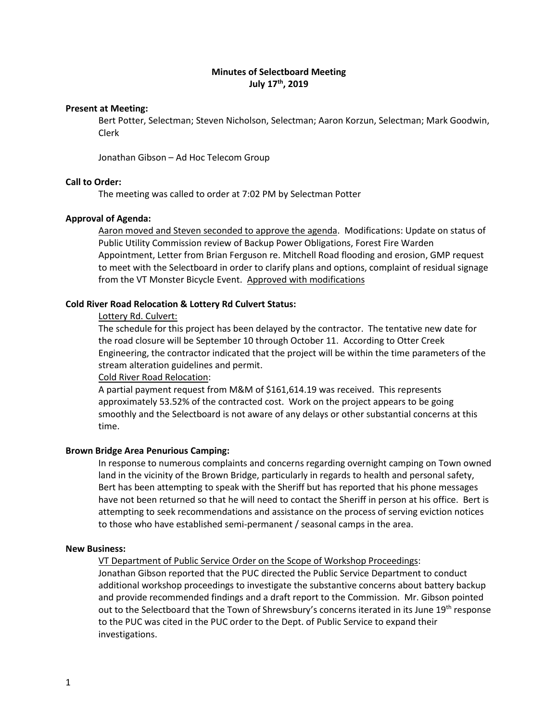# **Minutes of Selectboard Meeting July 17 th, 2019**

### **Present at Meeting:**

Bert Potter, Selectman; Steven Nicholson, Selectman; Aaron Korzun, Selectman; Mark Goodwin, Clerk

Jonathan Gibson – Ad Hoc Telecom Group

### **Call to Order:**

The meeting was called to order at 7:02 PM by Selectman Potter

#### **Approval of Agenda:**

Aaron moved and Steven seconded to approve the agenda. Modifications: Update on status of Public Utility Commission review of Backup Power Obligations, Forest Fire Warden Appointment, Letter from Brian Ferguson re. Mitchell Road flooding and erosion, GMP request to meet with the Selectboard in order to clarify plans and options, complaint of residual signage from the VT Monster Bicycle Event. Approved with modifications

### **Cold River Road Relocation & Lottery Rd Culvert Status:**

#### Lottery Rd. Culvert:

The schedule for this project has been delayed by the contractor. The tentative new date for the road closure will be September 10 through October 11. According to Otter Creek Engineering, the contractor indicated that the project will be within the time parameters of the stream alteration guidelines and permit.

#### Cold River Road Relocation:

A partial payment request from M&M of \$161,614.19 was received. This represents approximately 53.52% of the contracted cost. Work on the project appears to be going smoothly and the Selectboard is not aware of any delays or other substantial concerns at this time.

### **Brown Bridge Area Penurious Camping:**

In response to numerous complaints and concerns regarding overnight camping on Town owned land in the vicinity of the Brown Bridge, particularly in regards to health and personal safety, Bert has been attempting to speak with the Sheriff but has reported that his phone messages have not been returned so that he will need to contact the Sheriff in person at his office. Bert is attempting to seek recommendations and assistance on the process of serving eviction notices to those who have established semi-permanent / seasonal camps in the area.

### **New Business:**

VT Department of Public Service Order on the Scope of Workshop Proceedings:

Jonathan Gibson reported that the PUC directed the Public Service Department to conduct additional workshop proceedings to investigate the substantive concerns about battery backup and provide recommended findings and a draft report to the Commission. Mr. Gibson pointed out to the Selectboard that the Town of Shrewsbury's concerns iterated in its June 19<sup>th</sup> response to the PUC was cited in the PUC order to the Dept. of Public Service to expand their investigations.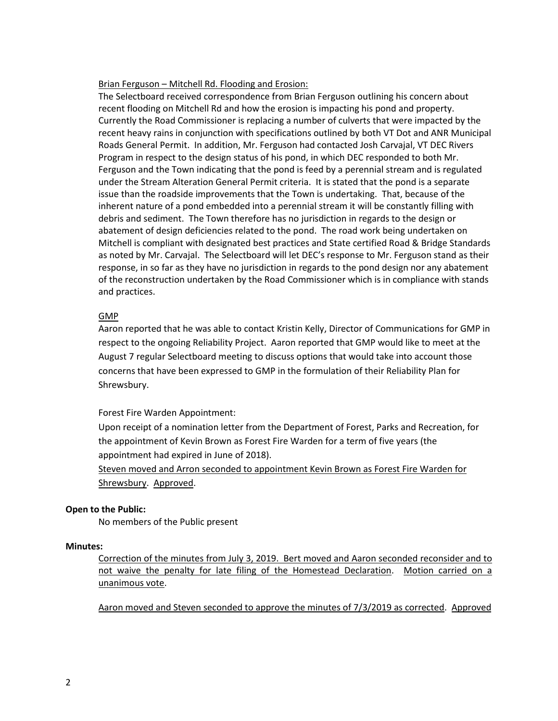### Brian Ferguson – Mitchell Rd. Flooding and Erosion:

The Selectboard received correspondence from Brian Ferguson outlining his concern about recent flooding on Mitchell Rd and how the erosion is impacting his pond and property. Currently the Road Commissioner is replacing a number of culverts that were impacted by the recent heavy rains in conjunction with specifications outlined by both VT Dot and ANR Municipal Roads General Permit. In addition, Mr. Ferguson had contacted Josh Carvajal, VT DEC Rivers Program in respect to the design status of his pond, in which DEC responded to both Mr. Ferguson and the Town indicating that the pond is feed by a perennial stream and is regulated under the Stream Alteration General Permit criteria. It is stated that the pond is a separate issue than the roadside improvements that the Town is undertaking. That, because of the inherent nature of a pond embedded into a perennial stream it will be constantly filling with debris and sediment. The Town therefore has no jurisdiction in regards to the design or abatement of design deficiencies related to the pond. The road work being undertaken on Mitchell is compliant with designated best practices and State certified Road & Bridge Standards as noted by Mr. Carvajal. The Selectboard will let DEC's response to Mr. Ferguson stand as their response, in so far as they have no jurisdiction in regards to the pond design nor any abatement of the reconstruction undertaken by the Road Commissioner which is in compliance with stands and practices.

# GMP

Aaron reported that he was able to contact Kristin Kelly, Director of Communications for GMP in respect to the ongoing Reliability Project. Aaron reported that GMP would like to meet at the August 7 regular Selectboard meeting to discuss options that would take into account those concerns that have been expressed to GMP in the formulation of their Reliability Plan for Shrewsbury.

# Forest Fire Warden Appointment:

Upon receipt of a nomination letter from the Department of Forest, Parks and Recreation, for the appointment of Kevin Brown as Forest Fire Warden for a term of five years (the appointment had expired in June of 2018).

Steven moved and Arron seconded to appointment Kevin Brown as Forest Fire Warden for Shrewsbury. Approved.

# **Open to the Public:**

No members of the Public present

# **Minutes:**

Correction of the minutes from July 3, 2019. Bert moved and Aaron seconded reconsider and to not waive the penalty for late filing of the Homestead Declaration. Motion carried on a unanimous vote.

Aaron moved and Steven seconded to approve the minutes of 7/3/2019 as corrected. Approved